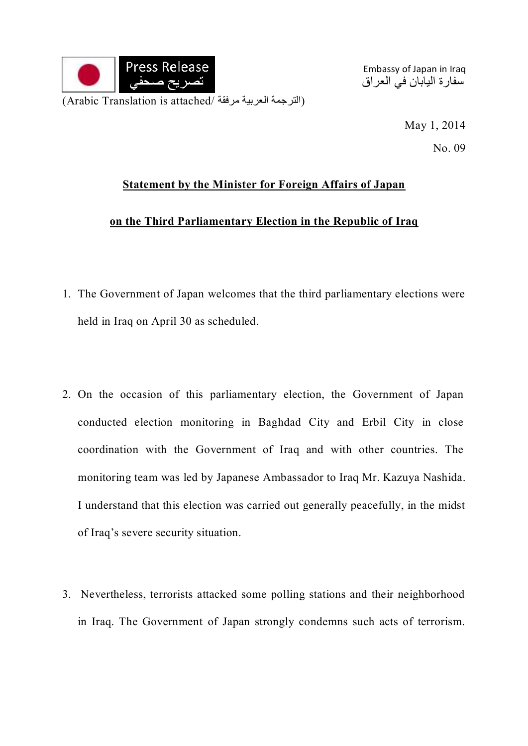

Embassy of Japan in Iraq سفارة اليابان في العراق

> May 1, 2014 No. 09

## **Statement by the Minister for Foreign Affairs of Japan**

## **on the Third Parliamentary Election in the Republic of Iraq**

- 1. The Government of Japan welcomes that the third parliamentary elections were held in Iraq on April 30 as scheduled.
- 2. On the occasion of this parliamentary election, the Government of Japan conducted election monitoring in Baghdad City and Erbil City in close coordination with the Government of Iraq and with other countries. The monitoring team was led by Japanese Ambassador to Iraq Mr. Kazuya Nashida. I understand that this election was carried out generally peacefully, in the midst of Iraq's severe security situation.
- 3. Nevertheless, terrorists attacked some polling stations and their neighborhood in Iraq. The Government of Japan strongly condemns such acts of terrorism.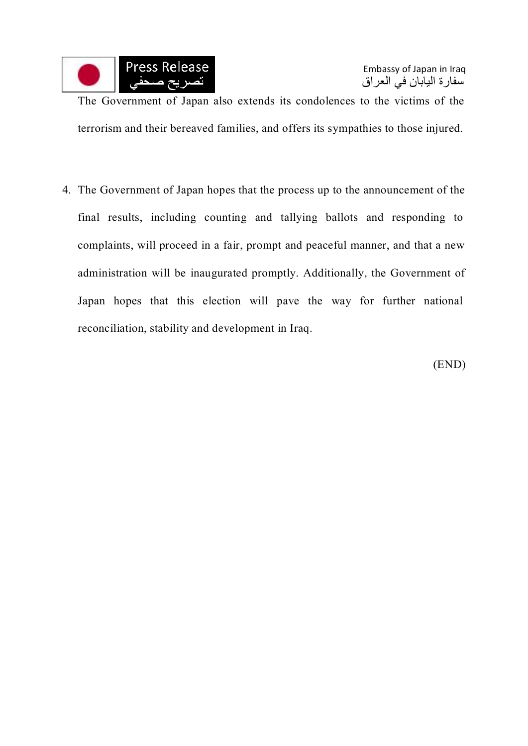

The Government of Japan also extends its condolences to the victims of the terrorism and their bereaved families, and offers its sympathies to those injured.

4. The Government of Japan hopes that the process up to the announcement of the final results, including counting and tallying ballots and responding to complaints, will proceed in a fair, prompt and peaceful manner, and that a new administration will be inaugurated promptly. Additionally, the Government of Japan hopes that this election will pave the way for further national reconciliation, stability and development in Iraq.

(END)